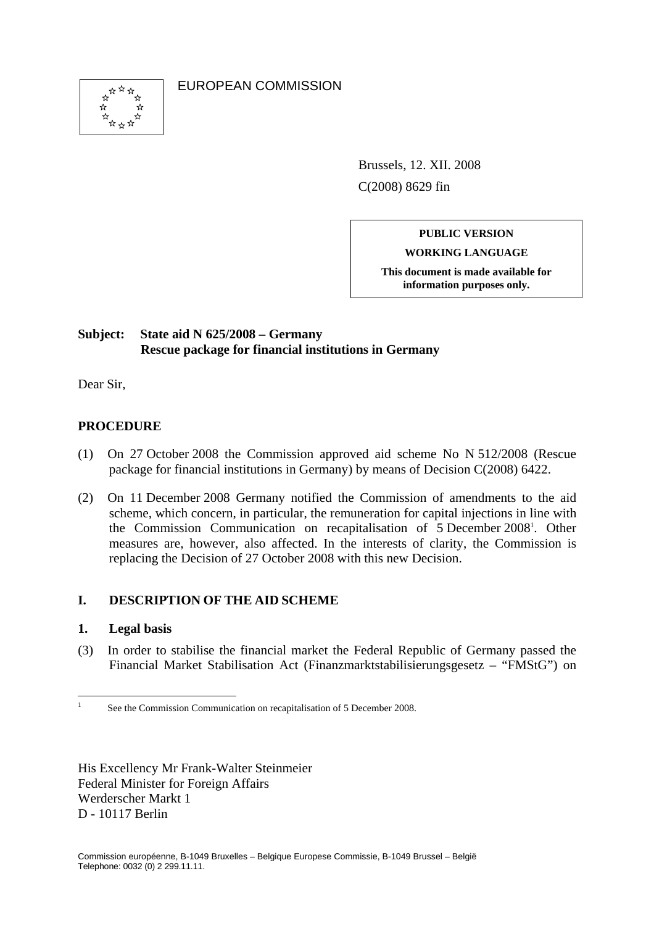

EUROPEAN COMMISSION

Brussels, 12. XII. 2008 C(2008) 8629 fin

# **PUBLIC VERSION**

**WORKING LANGUAGE** 

**This document is made available for information purposes only.**

# **Subject: State aid N 625/2008 – Germany Rescue package for financial institutions in Germany**

Dear Sir,

# **PROCEDURE**

- (1) On 27 October 2008 the Commission approved aid scheme No N 512/2008 (Rescue package for financial institutions in Germany) by means of Decision C(2008) 6422.
- (2) On 11 December 2008 Germany notified the Commission of amendments to the aid scheme, which concern, in particular, the remuneration for capital injections in line with the Commission Communication on recapitalisation of 5 December 2008<sup>1</sup>. Other measures are, however, also affected. In the interests of clarity, the Commission is replacing the Decision of 27 October 2008 with this new Decision.

## **I. DESCRIPTION OF THE AID SCHEME**

#### **1. Legal basis**

(3) In order to stabilise the financial market the Federal Republic of Germany passed the Financial Market Stabilisation Act (Finanzmarktstabilisierungsgesetz – "FMStG") on

His Excellency Mr Frank-Walter Steinmeier Federal Minister for Foreign Affairs Werderscher Markt 1 D - 10117 Berlin

 $\frac{1}{1}$ See the Commission Communication on recapitalisation of 5 December 2008.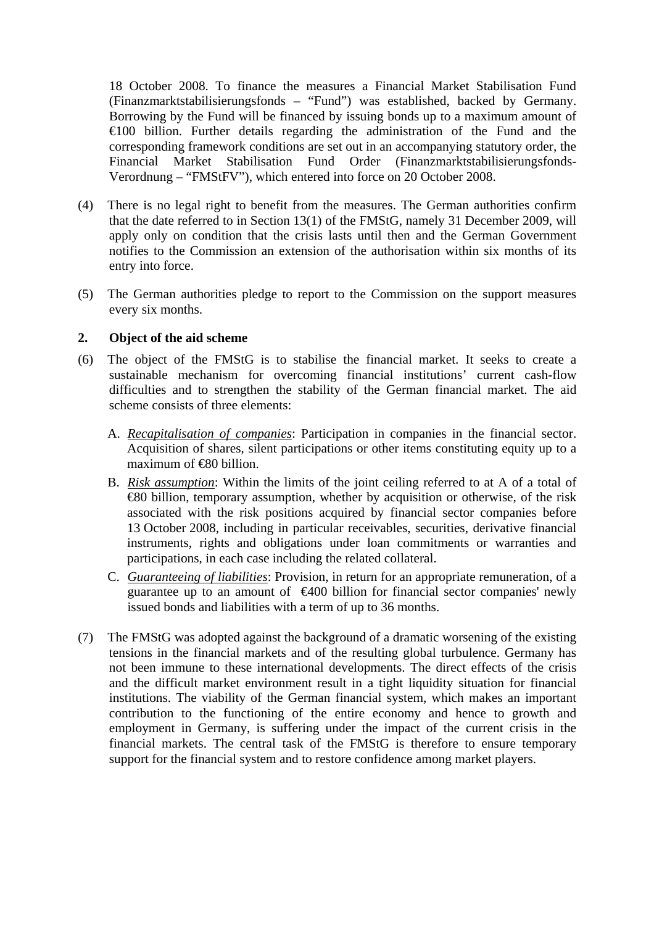18 October 2008. To finance the measures a Financial Market Stabilisation Fund (Finanzmarktstabilisierungsfonds – "Fund") was established, backed by Germany. Borrowing by the Fund will be financed by issuing bonds up to a maximum amount of €100 billion. Further details regarding the administration of the Fund and the corresponding framework conditions are set out in an accompanying statutory order, the Financial Market Stabilisation Fund Order (Finanzmarktstabilisierungsfonds-Verordnung – "FMStFV"), which entered into force on 20 October 2008.

- (4) There is no legal right to benefit from the measures. The German authorities confirm that the date referred to in Section 13(1) of the FMStG, namely 31 December 2009, will apply only on condition that the crisis lasts until then and the German Government notifies to the Commission an extension of the authorisation within six months of its entry into force.
- (5) The German authorities pledge to report to the Commission on the support measures every six months.

### **2. Object of the aid scheme**

- (6) The object of the FMStG is to stabilise the financial market. It seeks to create a sustainable mechanism for overcoming financial institutions' current cash-flow difficulties and to strengthen the stability of the German financial market. The aid scheme consists of three elements:
	- A. *Recapitalisation of companies*: Participation in companies in the financial sector. Acquisition of shares, silent participations or other items constituting equity up to a maximum of <del>€8</del>0 billion.
	- B. *Risk assumption*: Within the limits of the joint ceiling referred to at A of a total of €80 billion, temporary assumption, whether by acquisition or otherwise, of the risk associated with the risk positions acquired by financial sector companies before 13 October 2008, including in particular receivables, securities, derivative financial instruments, rights and obligations under loan commitments or warranties and participations, in each case including the related collateral.
	- C. *Guaranteeing of liabilities*: Provision, in return for an appropriate remuneration, of a guarantee up to an amount of  $\bigoplus$   $00$  billion for financial sector companies' newly issued bonds and liabilities with a term of up to 36 months.
- (7) The FMStG was adopted against the background of a dramatic worsening of the existing tensions in the financial markets and of the resulting global turbulence. Germany has not been immune to these international developments. The direct effects of the crisis and the difficult market environment result in a tight liquidity situation for financial institutions. The viability of the German financial system, which makes an important contribution to the functioning of the entire economy and hence to growth and employment in Germany, is suffering under the impact of the current crisis in the financial markets. The central task of the FMStG is therefore to ensure temporary support for the financial system and to restore confidence among market players.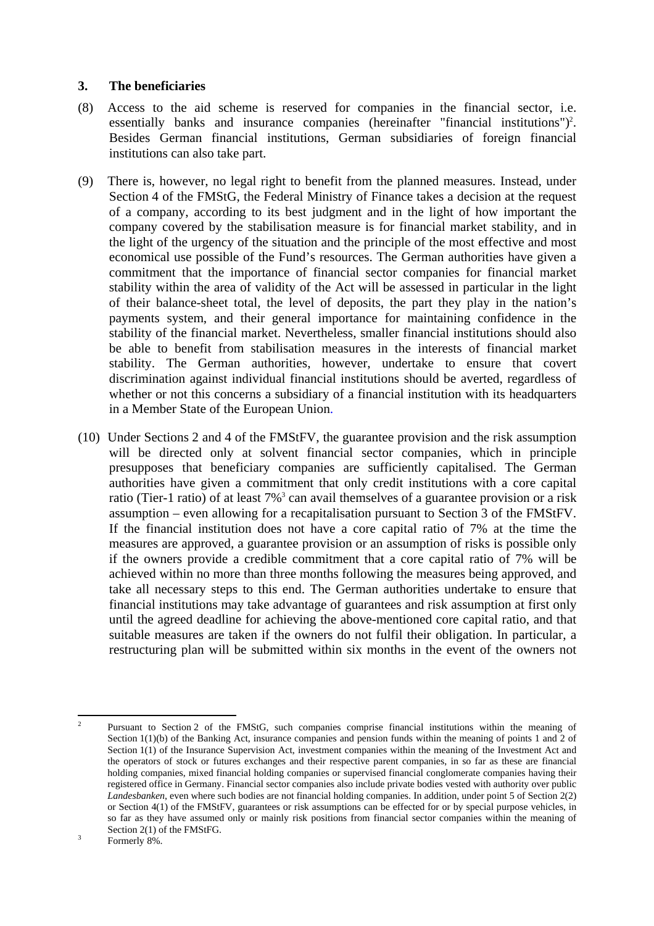#### **3. The beneficiaries**

- (8) Access to the aid scheme is reserved for companies in the financial sector, i.e. essentially banks and insurance companies (hereinafter "financial institutions")<sup>2</sup>. Besides German financial institutions, German subsidiaries of foreign financial institutions can also take part.
- (9) There is, however, no legal right to benefit from the planned measures. Instead, under Section 4 of the FMStG, the Federal Ministry of Finance takes a decision at the request of a company, according to its best judgment and in the light of how important the company covered by the stabilisation measure is for financial market stability, and in the light of the urgency of the situation and the principle of the most effective and most economical use possible of the Fund's resources. The German authorities have given a commitment that the importance of financial sector companies for financial market stability within the area of validity of the Act will be assessed in particular in the light of their balance-sheet total, the level of deposits, the part they play in the nation's payments system, and their general importance for maintaining confidence in the stability of the financial market. Nevertheless, smaller financial institutions should also be able to benefit from stabilisation measures in the interests of financial market stability. The German authorities, however, undertake to ensure that covert discrimination against individual financial institutions should be averted, regardless of whether or not this concerns a subsidiary of a financial institution with its headquarters in a Member State of the European Union.
- (10) Under Sections 2 and 4 of the FMStFV, the guarantee provision and the risk assumption will be directed only at solvent financial sector companies, which in principle presupposes that beneficiary companies are sufficiently capitalised. The German authorities have given a commitment that only credit institutions with a core capital ratio (Tier-1 ratio) of at least 7%<sup>3</sup> can avail themselves of a guarantee provision or a risk assumption – even allowing for a recapitalisation pursuant to Section 3 of the FMStFV. If the financial institution does not have a core capital ratio of 7% at the time the measures are approved, a guarantee provision or an assumption of risks is possible only if the owners provide a credible commitment that a core capital ratio of 7% will be achieved within no more than three months following the measures being approved, and take all necessary steps to this end. The German authorities undertake to ensure that financial institutions may take advantage of guarantees and risk assumption at first only until the agreed deadline for achieving the above-mentioned core capital ratio, and that suitable measures are taken if the owners do not fulfil their obligation. In particular, a restructuring plan will be submitted within six months in the event of the owners not

 $\overline{a}$ 2 Pursuant to Section 2 of the FMStG, such companies comprise financial institutions within the meaning of Section 1(1)(b) of the Banking Act, insurance companies and pension funds within the meaning of points 1 and 2 of Section 1(1) of the Insurance Supervision Act, investment companies within the meaning of the Investment Act and the operators of stock or futures exchanges and their respective parent companies, in so far as these are financial holding companies, mixed financial holding companies or supervised financial conglomerate companies having their registered office in Germany. Financial sector companies also include private bodies vested with authority over public *Landesbanken*, even where such bodies are not financial holding companies. In addition, under point 5 of Section 2(2) or Section 4(1) of the FMStFV, guarantees or risk assumptions can be effected for or by special purpose vehicles, in so far as they have assumed only or mainly risk positions from financial sector companies within the meaning of Section 2(1) of the FMStFG.

Formerly 8%.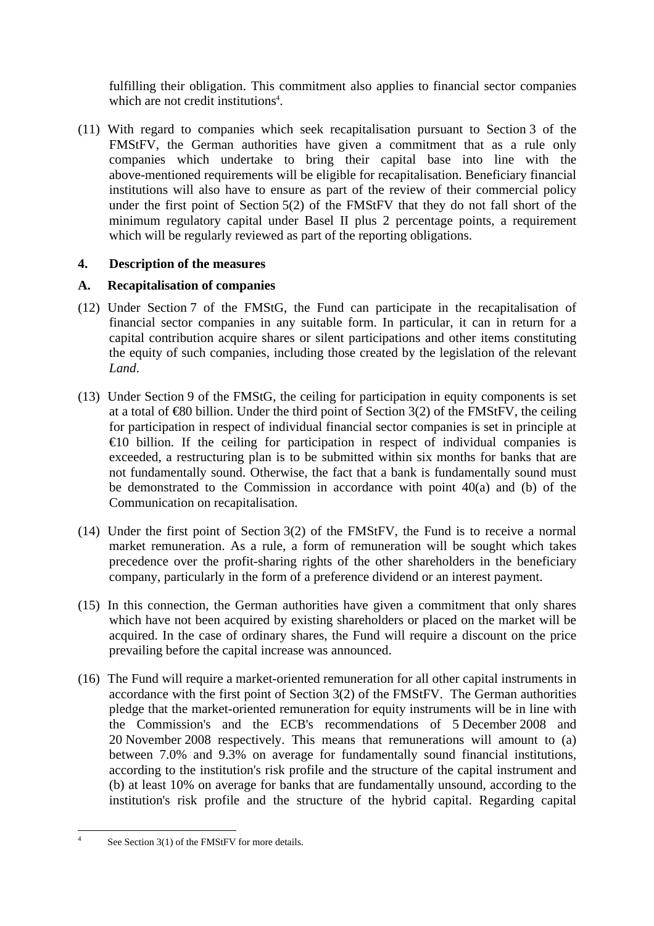fulfilling their obligation. This commitment also applies to financial sector companies which are not credit institutions<sup>4</sup>.

(11) With regard to companies which seek recapitalisation pursuant to Section 3 of the FMStFV, the German authorities have given a commitment that as a rule only companies which undertake to bring their capital base into line with the above-mentioned requirements will be eligible for recapitalisation. Beneficiary financial institutions will also have to ensure as part of the review of their commercial policy under the first point of Section 5(2) of the FMStFV that they do not fall short of the minimum regulatory capital under Basel II plus 2 percentage points, a requirement which will be regularly reviewed as part of the reporting obligations.

# **4. Description of the measures**

# **A. Recapitalisation of companies**

- (12) Under Section 7 of the FMStG, the Fund can participate in the recapitalisation of financial sector companies in any suitable form. In particular, it can in return for a capital contribution acquire shares or silent participations and other items constituting the equity of such companies, including those created by the legislation of the relevant *Land*.
- (13) Under Section 9 of the FMStG, the ceiling for participation in equity components is set at a total of  $\textcircled{480}$  billion. Under the third point of Section 3(2) of the FMStFV, the ceiling for participation in respect of individual financial sector companies is set in principle at  $\epsilon$ 10 billion. If the ceiling for participation in respect of individual companies is exceeded, a restructuring plan is to be submitted within six months for banks that are not fundamentally sound. Otherwise, the fact that a bank is fundamentally sound must be demonstrated to the Commission in accordance with point 40(a) and (b) of the Communication on recapitalisation.
- (14) Under the first point of Section 3(2) of the FMStFV, the Fund is to receive a normal market remuneration. As a rule, a form of remuneration will be sought which takes precedence over the profit-sharing rights of the other shareholders in the beneficiary company, particularly in the form of a preference dividend or an interest payment.
- (15) In this connection, the German authorities have given a commitment that only shares which have not been acquired by existing shareholders or placed on the market will be acquired. In the case of ordinary shares, the Fund will require a discount on the price prevailing before the capital increase was announced.
- (16) The Fund will require a market-oriented remuneration for all other capital instruments in accordance with the first point of Section 3(2) of the FMStFV. The German authorities pledge that the market-oriented remuneration for equity instruments will be in line with the Commission's and the ECB's recommendations of 5 December 2008 and 20 November 2008 respectively. This means that remunerations will amount to (a) between 7.0% and 9.3% on average for fundamentally sound financial institutions, according to the institution's risk profile and the structure of the capital instrument and (b) at least 10% on average for banks that are fundamentally unsound, according to the institution's risk profile and the structure of the hybrid capital. Regarding capital

 $\frac{1}{4}$ See Section 3(1) of the FMStFV for more details.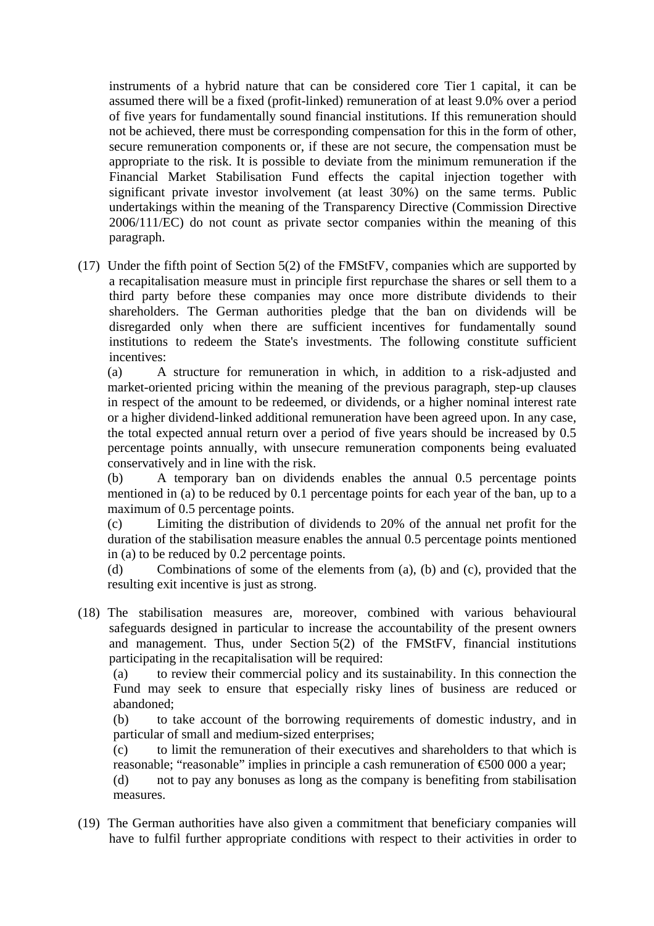instruments of a hybrid nature that can be considered core Tier 1 capital, it can be assumed there will be a fixed (profit-linked) remuneration of at least 9.0% over a period of five years for fundamentally sound financial institutions. If this remuneration should not be achieved, there must be corresponding compensation for this in the form of other, secure remuneration components or, if these are not secure, the compensation must be appropriate to the risk. It is possible to deviate from the minimum remuneration if the Financial Market Stabilisation Fund effects the capital injection together with significant private investor involvement (at least 30%) on the same terms. Public undertakings within the meaning of the Transparency Directive (Commission Directive 2006/111/EC) do not count as private sector companies within the meaning of this paragraph.

(17) Under the fifth point of Section 5(2) of the FMStFV, companies which are supported by a recapitalisation measure must in principle first repurchase the shares or sell them to a third party before these companies may once more distribute dividends to their shareholders. The German authorities pledge that the ban on dividends will be disregarded only when there are sufficient incentives for fundamentally sound institutions to redeem the State's investments. The following constitute sufficient incentives:

(a) A structure for remuneration in which, in addition to a risk-adjusted and market-oriented pricing within the meaning of the previous paragraph, step-up clauses in respect of the amount to be redeemed, or dividends, or a higher nominal interest rate or a higher dividend-linked additional remuneration have been agreed upon. In any case, the total expected annual return over a period of five years should be increased by 0.5 percentage points annually, with unsecure remuneration components being evaluated conservatively and in line with the risk.

(b) A temporary ban on dividends enables the annual 0.5 percentage points mentioned in (a) to be reduced by 0.1 percentage points for each year of the ban, up to a maximum of 0.5 percentage points.

(c) Limiting the distribution of dividends to 20% of the annual net profit for the duration of the stabilisation measure enables the annual 0.5 percentage points mentioned in (a) to be reduced by 0.2 percentage points.

(d) Combinations of some of the elements from (a), (b) and (c), provided that the resulting exit incentive is just as strong.

(18) The stabilisation measures are, moreover, combined with various behavioural safeguards designed in particular to increase the accountability of the present owners and management. Thus, under Section 5(2) of the FMStFV, financial institutions participating in the recapitalisation will be required:

(a) to review their commercial policy and its sustainability. In this connection the Fund may seek to ensure that especially risky lines of business are reduced or abandoned;

(b) to take account of the borrowing requirements of domestic industry, and in particular of small and medium-sized enterprises;

(c) to limit the remuneration of their executives and shareholders to that which is reasonable; "reasonable" implies in principle a cash remuneration of  $\epsilon$ 500 000 a year;

(d) not to pay any bonuses as long as the company is benefiting from stabilisation measures.

(19) The German authorities have also given a commitment that beneficiary companies will have to fulfil further appropriate conditions with respect to their activities in order to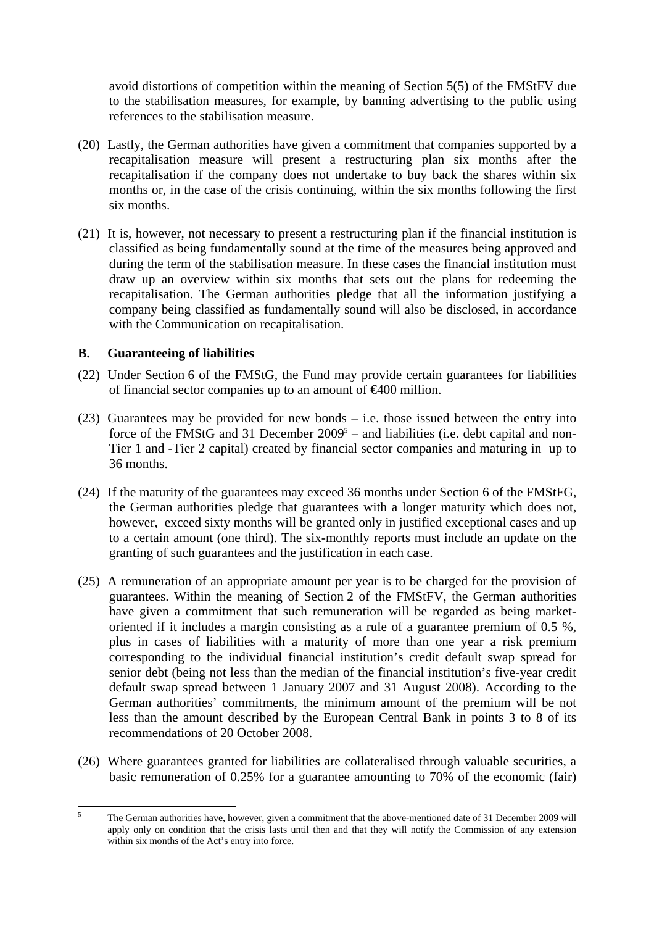avoid distortions of competition within the meaning of Section 5(5) of the FMStFV due to the stabilisation measures, for example, by banning advertising to the public using references to the stabilisation measure.

- (20) Lastly, the German authorities have given a commitment that companies supported by a recapitalisation measure will present a restructuring plan six months after the recapitalisation if the company does not undertake to buy back the shares within six months or, in the case of the crisis continuing, within the six months following the first six months.
- (21) It is, however, not necessary to present a restructuring plan if the financial institution is classified as being fundamentally sound at the time of the measures being approved and during the term of the stabilisation measure. In these cases the financial institution must draw up an overview within six months that sets out the plans for redeeming the recapitalisation. The German authorities pledge that all the information justifying a company being classified as fundamentally sound will also be disclosed, in accordance with the Communication on recapitalisation.

#### **B. Guaranteeing of liabilities**

- (22) Under Section 6 of the FMStG, the Fund may provide certain guarantees for liabilities of financial sector companies up to an amount of €400 million.
- (23) Guarantees may be provided for new bonds i.e. those issued between the entry into force of the FMStG and 31 December  $2009<sup>5</sup>$  – and liabilities (i.e. debt capital and non-Tier 1 and -Tier 2 capital) created by financial sector companies and maturing in up to 36 months.
- (24) If the maturity of the guarantees may exceed 36 months under Section 6 of the FMStFG, the German authorities pledge that guarantees with a longer maturity which does not, however, exceed sixty months will be granted only in justified exceptional cases and up to a certain amount (one third). The six-monthly reports must include an update on the granting of such guarantees and the justification in each case.
- (25) A remuneration of an appropriate amount per year is to be charged for the provision of guarantees. Within the meaning of Section 2 of the FMStFV, the German authorities have given a commitment that such remuneration will be regarded as being marketoriented if it includes a margin consisting as a rule of a guarantee premium of 0.5 %, plus in cases of liabilities with a maturity of more than one year a risk premium corresponding to the individual financial institution's credit default swap spread for senior debt (being not less than the median of the financial institution's five-year credit default swap spread between 1 January 2007 and 31 August 2008). According to the German authorities' commitments, the minimum amount of the premium will be not less than the amount described by the European Central Bank in points 3 to 8 of its recommendations of 20 October 2008.
- (26) Where guarantees granted for liabilities are collateralised through valuable securities, a basic remuneration of 0.25% for a guarantee amounting to 70% of the economic (fair)

 5 The German authorities have, however, given a commitment that the above-mentioned date of 31 December 2009 will apply only on condition that the crisis lasts until then and that they will notify the Commission of any extension within six months of the Act's entry into force.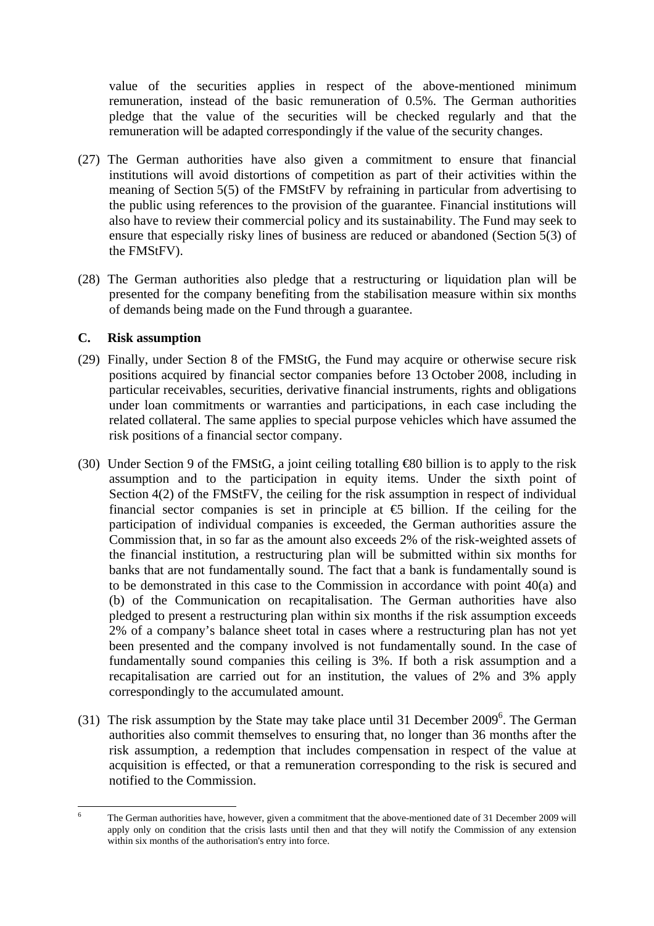value of the securities applies in respect of the above-mentioned minimum remuneration, instead of the basic remuneration of 0.5%. The German authorities pledge that the value of the securities will be checked regularly and that the remuneration will be adapted correspondingly if the value of the security changes.

- (27) The German authorities have also given a commitment to ensure that financial institutions will avoid distortions of competition as part of their activities within the meaning of Section 5(5) of the FMStFV by refraining in particular from advertising to the public using references to the provision of the guarantee. Financial institutions will also have to review their commercial policy and its sustainability. The Fund may seek to ensure that especially risky lines of business are reduced or abandoned (Section 5(3) of the FMStFV).
- (28) The German authorities also pledge that a restructuring or liquidation plan will be presented for the company benefiting from the stabilisation measure within six months of demands being made on the Fund through a guarantee.

### **C. Risk assumption**

- (29) Finally, under Section 8 of the FMStG, the Fund may acquire or otherwise secure risk positions acquired by financial sector companies before 13 October 2008, including in particular receivables, securities, derivative financial instruments, rights and obligations under loan commitments or warranties and participations, in each case including the related collateral. The same applies to special purpose vehicles which have assumed the risk positions of a financial sector company.
- (30) Under Section 9 of the FMStG, a joint ceiling totalling €80 billion is to apply to the risk assumption and to the participation in equity items. Under the sixth point of Section 4(2) of the FMStFV, the ceiling for the risk assumption in respect of individual financial sector companies is set in principle at  $\epsilon$  billion. If the ceiling for the participation of individual companies is exceeded, the German authorities assure the Commission that, in so far as the amount also exceeds 2% of the risk-weighted assets of the financial institution, a restructuring plan will be submitted within six months for banks that are not fundamentally sound. The fact that a bank is fundamentally sound is to be demonstrated in this case to the Commission in accordance with point 40(a) and (b) of the Communication on recapitalisation. The German authorities have also pledged to present a restructuring plan within six months if the risk assumption exceeds 2% of a company's balance sheet total in cases where a restructuring plan has not yet been presented and the company involved is not fundamentally sound. In the case of fundamentally sound companies this ceiling is 3%. If both a risk assumption and a recapitalisation are carried out for an institution, the values of 2% and 3% apply correspondingly to the accumulated amount.
- (31) The risk assumption by the State may take place until 31 December  $2009^6$ . The German authorities also commit themselves to ensuring that, no longer than 36 months after the risk assumption, a redemption that includes compensation in respect of the value at acquisition is effected, or that a remuneration corresponding to the risk is secured and notified to the Commission.

 6 The German authorities have, however, given a commitment that the above-mentioned date of 31 December 2009 will apply only on condition that the crisis lasts until then and that they will notify the Commission of any extension within six months of the authorisation's entry into force.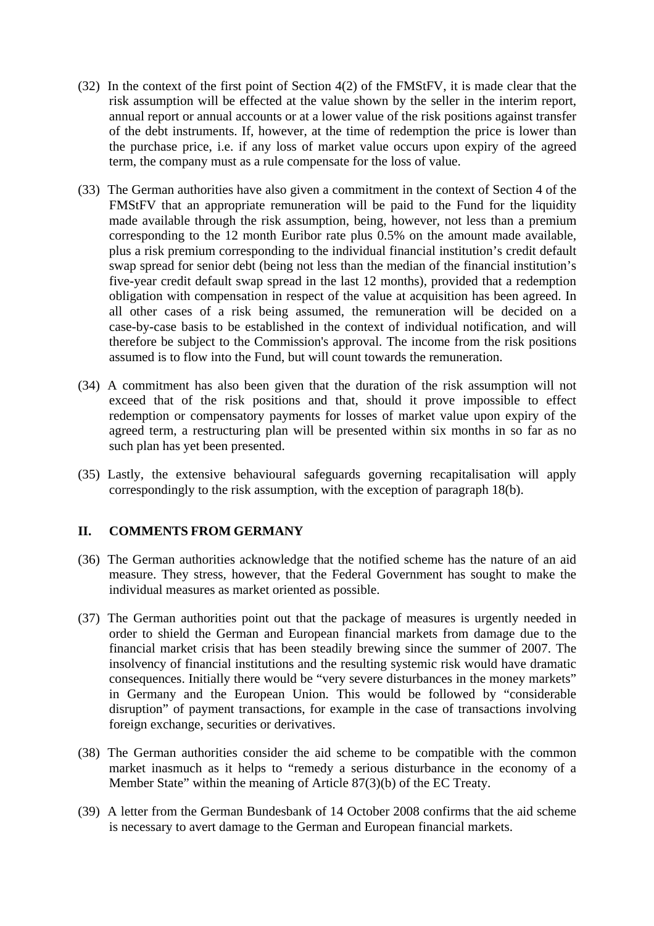- (32) In the context of the first point of Section 4(2) of the FMStFV, it is made clear that the risk assumption will be effected at the value shown by the seller in the interim report, annual report or annual accounts or at a lower value of the risk positions against transfer of the debt instruments. If, however, at the time of redemption the price is lower than the purchase price, i.e. if any loss of market value occurs upon expiry of the agreed term, the company must as a rule compensate for the loss of value.
- (33) The German authorities have also given a commitment in the context of Section 4 of the FMStFV that an appropriate remuneration will be paid to the Fund for the liquidity made available through the risk assumption, being, however, not less than a premium corresponding to the 12 month Euribor rate plus 0.5% on the amount made available, plus a risk premium corresponding to the individual financial institution's credit default swap spread for senior debt (being not less than the median of the financial institution's five-year credit default swap spread in the last 12 months), provided that a redemption obligation with compensation in respect of the value at acquisition has been agreed. In all other cases of a risk being assumed, the remuneration will be decided on a case-by-case basis to be established in the context of individual notification, and will therefore be subject to the Commission's approval. The income from the risk positions assumed is to flow into the Fund, but will count towards the remuneration.
- (34) A commitment has also been given that the duration of the risk assumption will not exceed that of the risk positions and that, should it prove impossible to effect redemption or compensatory payments for losses of market value upon expiry of the agreed term, a restructuring plan will be presented within six months in so far as no such plan has yet been presented.
- (35) Lastly, the extensive behavioural safeguards governing recapitalisation will apply correspondingly to the risk assumption, with the exception of paragraph 18(b).

## **II. COMMENTS FROM GERMANY**

- (36) The German authorities acknowledge that the notified scheme has the nature of an aid measure. They stress, however, that the Federal Government has sought to make the individual measures as market oriented as possible.
- (37) The German authorities point out that the package of measures is urgently needed in order to shield the German and European financial markets from damage due to the financial market crisis that has been steadily brewing since the summer of 2007. The insolvency of financial institutions and the resulting systemic risk would have dramatic consequences. Initially there would be "very severe disturbances in the money markets" in Germany and the European Union. This would be followed by "considerable disruption" of payment transactions, for example in the case of transactions involving foreign exchange, securities or derivatives.
- (38) The German authorities consider the aid scheme to be compatible with the common market inasmuch as it helps to "remedy a serious disturbance in the economy of a Member State" within the meaning of Article 87(3)(b) of the EC Treaty.
- (39) A letter from the German Bundesbank of 14 October 2008 confirms that the aid scheme is necessary to avert damage to the German and European financial markets.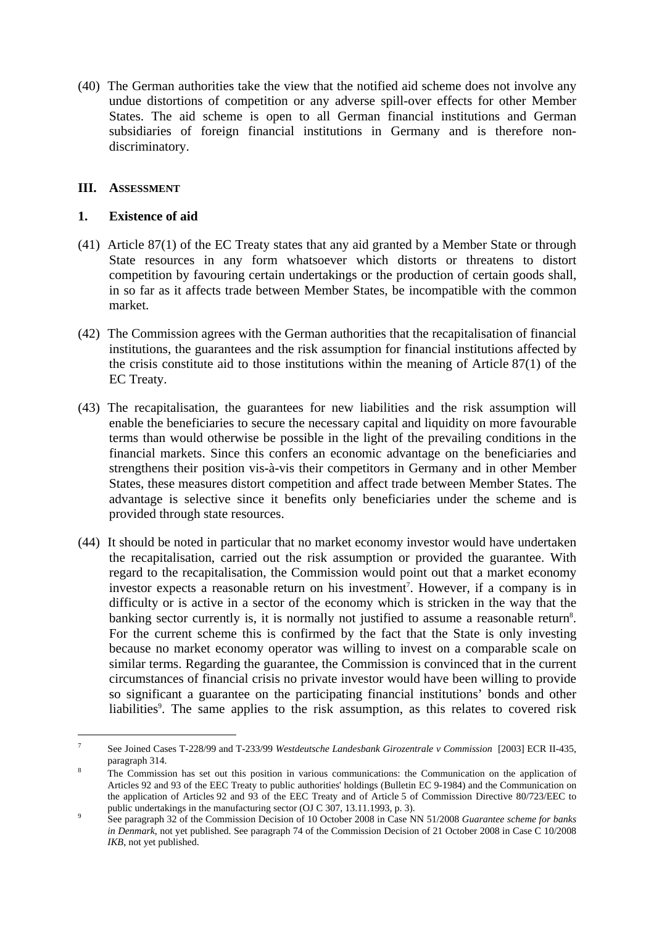(40) The German authorities take the view that the notified aid scheme does not involve any undue distortions of competition or any adverse spill-over effects for other Member States. The aid scheme is open to all German financial institutions and German subsidiaries of foreign financial institutions in Germany and is therefore nondiscriminatory.

## **III. ASSESSMENT**

 $\overline{a}$ 

#### **1. Existence of aid**

- (41) Article 87(1) of the EC Treaty states that any aid granted by a Member State or through State resources in any form whatsoever which distorts or threatens to distort competition by favouring certain undertakings or the production of certain goods shall, in so far as it affects trade between Member States, be incompatible with the common market.
- (42) The Commission agrees with the German authorities that the recapitalisation of financial institutions, the guarantees and the risk assumption for financial institutions affected by the crisis constitute aid to those institutions within the meaning of Article 87(1) of the EC Treaty.
- (43) The recapitalisation, the guarantees for new liabilities and the risk assumption will enable the beneficiaries to secure the necessary capital and liquidity on more favourable terms than would otherwise be possible in the light of the prevailing conditions in the financial markets. Since this confers an economic advantage on the beneficiaries and strengthens their position vis-à-vis their competitors in Germany and in other Member States, these measures distort competition and affect trade between Member States. The advantage is selective since it benefits only beneficiaries under the scheme and is provided through state resources.
- (44) It should be noted in particular that no market economy investor would have undertaken the recapitalisation, carried out the risk assumption or provided the guarantee. With regard to the recapitalisation, the Commission would point out that a market economy investor expects a reasonable return on his investment<sup>7</sup>. However, if a company is in difficulty or is active in a sector of the economy which is stricken in the way that the banking sector currently is, it is normally not justified to assume a reasonable return<sup>8</sup>. For the current scheme this is confirmed by the fact that the State is only investing because no market economy operator was willing to invest on a comparable scale on similar terms. Regarding the guarantee, the Commission is convinced that in the current circumstances of financial crisis no private investor would have been willing to provide so significant a guarantee on the participating financial institutions' bonds and other liabilities<sup>9</sup>. The same applies to the risk assumption, as this relates to covered risk

<sup>7</sup> See Joined Cases T-228/99 and T-233/99 *Westdeutsche Landesbank Girozentrale v Commission* [2003] ECR II-435, paragraph 314.

The Commission has set out this position in various communications: the Communication on the application of Articles 92 and 93 of the EEC Treaty to public authorities' holdings (Bulletin EC 9-1984) and the Communication on the application of Articles 92 and 93 of the EEC Treaty and of Article 5 of Commission Directive 80/723/EEC to public undertakings in the manufacturing sector (OJ C 307, 13.11.1993, p. 3).

See paragraph 32 of the Commission Decision of 10 October 2008 in Case NN 51/2008 *Guarantee scheme for banks in Denmark*, not yet published. See paragraph 74 of the Commission Decision of 21 October 2008 in Case C 10/2008 *IKB*, not yet published.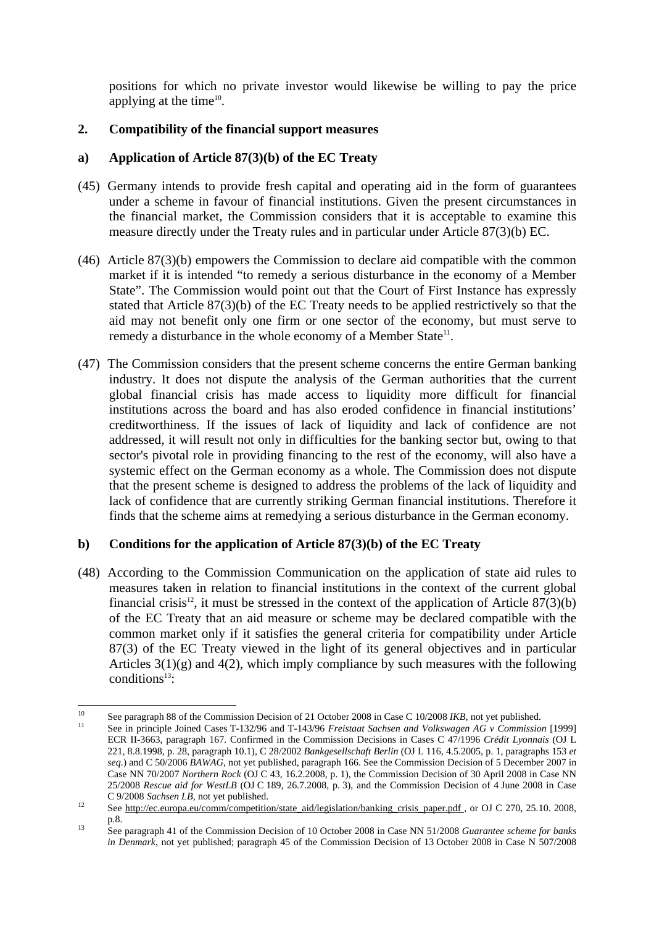positions for which no private investor would likewise be willing to pay the price applying at the time<sup>10</sup>.

# **2. Compatibility of the financial support measures**

## **a) Application of Article 87(3)(b) of the EC Treaty**

- (45) Germany intends to provide fresh capital and operating aid in the form of guarantees under a scheme in favour of financial institutions. Given the present circumstances in the financial market, the Commission considers that it is acceptable to examine this measure directly under the Treaty rules and in particular under Article 87(3)(b) EC.
- (46) Article 87(3)(b) empowers the Commission to declare aid compatible with the common market if it is intended "to remedy a serious disturbance in the economy of a Member State". The Commission would point out that the Court of First Instance has expressly stated that Article 87(3)(b) of the EC Treaty needs to be applied restrictively so that the aid may not benefit only one firm or one sector of the economy, but must serve to remedy a disturbance in the whole economy of a Member State<sup>11</sup>.
- (47) The Commission considers that the present scheme concerns the entire German banking industry. It does not dispute the analysis of the German authorities that the current global financial crisis has made access to liquidity more difficult for financial institutions across the board and has also eroded confidence in financial institutions' creditworthiness. If the issues of lack of liquidity and lack of confidence are not addressed, it will result not only in difficulties for the banking sector but, owing to that sector's pivotal role in providing financing to the rest of the economy, will also have a systemic effect on the German economy as a whole. The Commission does not dispute that the present scheme is designed to address the problems of the lack of liquidity and lack of confidence that are currently striking German financial institutions. Therefore it finds that the scheme aims at remedying a serious disturbance in the German economy.

## **b) Conditions for the application of Article 87(3)(b) of the EC Treaty**

(48) According to the Commission Communication on the application of state aid rules to measures taken in relation to financial institutions in the context of the current global financial crisis<sup>12</sup>, it must be stressed in the context of the application of Article  $87(3)(b)$ of the EC Treaty that an aid measure or scheme may be declared compatible with the common market only if it satisfies the general criteria for compatibility under Article 87(3) of the EC Treaty viewed in the light of its general objectives and in particular Articles  $3(1)(g)$  and  $4(2)$ , which imply compliance by such measures with the following conditions $13$ :

 $10<sup>10</sup>$ <sup>10</sup> See paragraph 88 of the Commission Decision of 21 October 2008 in Case C 10/2008 *IKB*, not yet published.<br><sup>11</sup> See in principle Joined Cases T-132/96 and T-143/96 *Freistaat Sachsen and Volkswagen AG v Commission* [

ECR II-3663, paragraph 167. Confirmed in the Commission Decisions in Cases C 47/1996 *Crédit Lyonnais* (OJ L 221, 8.8.1998, p. 28, paragraph 10.1), C 28/2002 *Bankgesellschaft Berlin* (OJ L 116, 4.5.2005, p. 1, paragraphs 153 *et seq*.) and C 50/2006 *BAWAG*, not yet published, paragraph 166. See the Commission Decision of 5 December 2007 in Case NN 70/2007 *Northern Rock* (OJ C 43, 16.2.2008, p. 1), the Commission Decision of 30 April 2008 in Case NN 25/2008 *Rescue aid for WestLB* (OJ C 189, 26.7.2008, p. 3), and the Commission Decision of 4 June 2008 in Case C 9/2008 *Sachsen LB*, not yet published.<br><sup>12</sup> Se[e http://ec.europa.eu/comm/competition/state\\_aid/legislation/banking\\_crisis\\_paper.pdf ,](http://ec.europa.eu/comm/competition/state_aid/legislation/banking_crisis_paper.pdf) or OJ C 270, 25.10. 2008,

p.8. 13 See paragraph 41 of the Commission Decision of 10 October 2008 in Case NN 51/2008 *Guarantee scheme for banks in Denmark*, not yet published; paragraph 45 of the Commission Decision of 13 October 2008 in Case N 507/2008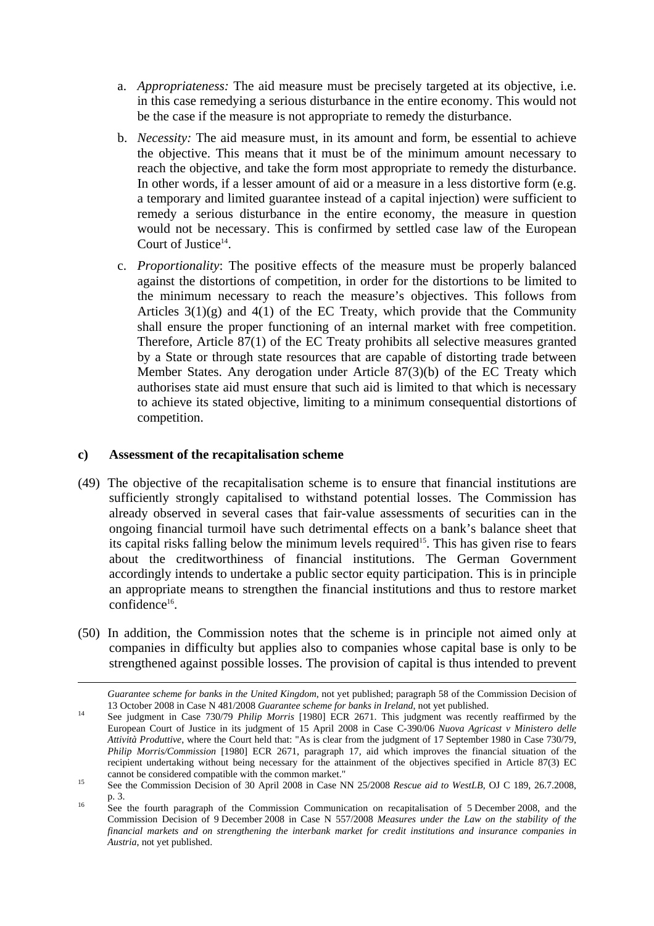- a. *Appropriateness:* The aid measure must be precisely targeted at its objective, i.e. in this case remedying a serious disturbance in the entire economy. This would not be the case if the measure is not appropriate to remedy the disturbance.
- b. *Necessity:* The aid measure must, in its amount and form, be essential to achieve the objective. This means that it must be of the minimum amount necessary to reach the objective, and take the form most appropriate to remedy the disturbance. In other words, if a lesser amount of aid or a measure in a less distortive form (e.g. a temporary and limited guarantee instead of a capital injection) were sufficient to remedy a serious disturbance in the entire economy, the measure in question would not be necessary. This is confirmed by settled case law of the European Court of Justice $^{14}$ .
- c. *Proportionality*: The positive effects of the measure must be properly balanced against the distortions of competition, in order for the distortions to be limited to the minimum necessary to reach the measure's objectives. This follows from Articles  $3(1)(g)$  and  $4(1)$  of the EC Treaty, which provide that the Community shall ensure the proper functioning of an internal market with free competition. Therefore, Article 87(1) of the EC Treaty prohibits all selective measures granted by a State or through state resources that are capable of distorting trade between Member States. Any derogation under Article 87(3)(b) of the EC Treaty which authorises state aid must ensure that such aid is limited to that which is necessary to achieve its stated objective, limiting to a minimum consequential distortions of competition.

#### **c) Assessment of the recapitalisation scheme**

 $\overline{a}$ 

- (49) The objective of the recapitalisation scheme is to ensure that financial institutions are sufficiently strongly capitalised to withstand potential losses. The Commission has already observed in several cases that fair-value assessments of securities can in the ongoing financial turmoil have such detrimental effects on a bank's balance sheet that its capital risks falling below the minimum levels required<sup>15</sup>. This has given rise to fears about the creditworthiness of financial institutions. The German Government accordingly intends to undertake a public sector equity participation. This is in principle an appropriate means to strengthen the financial institutions and thus to restore market confidence<sup>16</sup>.
- (50) In addition, the Commission notes that the scheme is in principle not aimed only at companies in difficulty but applies also to companies whose capital base is only to be strengthened against possible losses. The provision of capital is thus intended to prevent

*Guarantee scheme for banks in the United Kingdom*, not yet published; paragraph 58 of the Commission Decision of

<sup>13</sup> October 2008 in Case N 481/2008 *Guarantee scheme for banks in Ireland*, not yet published. 14 See judgment in Case 730/79 *Philip Morris* [1980] ECR 2671. This judgment was recently reaffirmed by the European Court of Justice in its judgment of 15 April 2008 in Case C-390/06 *Nuova Agricast v Ministero delle Attività Produttive*, where the Court held that: "As is clear from the judgment of 17 September 1980 in Case 730/79, *Philip Morris/Commission* [1980] ECR 2671, paragraph 17*,* aid which improves the financial situation of the recipient undertaking without being necessary for the attainment of the objectives specified in Article 87(3) EC

cannot be considered compatible with the common market."<br>
See the Commission Decision of 30 April 2008 in Case NN 25/2008 *Rescue aid to WestLB*, OJ C 189, 26.7.2008,

p. 3.<br><sup>16</sup> See the fourth paragraph of the Commission Communication on recapitalisation of 5 December 2008, and the Commission Decision of 9 December 2008 in Case N 557/2008 *Measures under the Law on the stability of the financial markets and on strengthening the interbank market for credit institutions and insurance companies in Austria*, not yet published.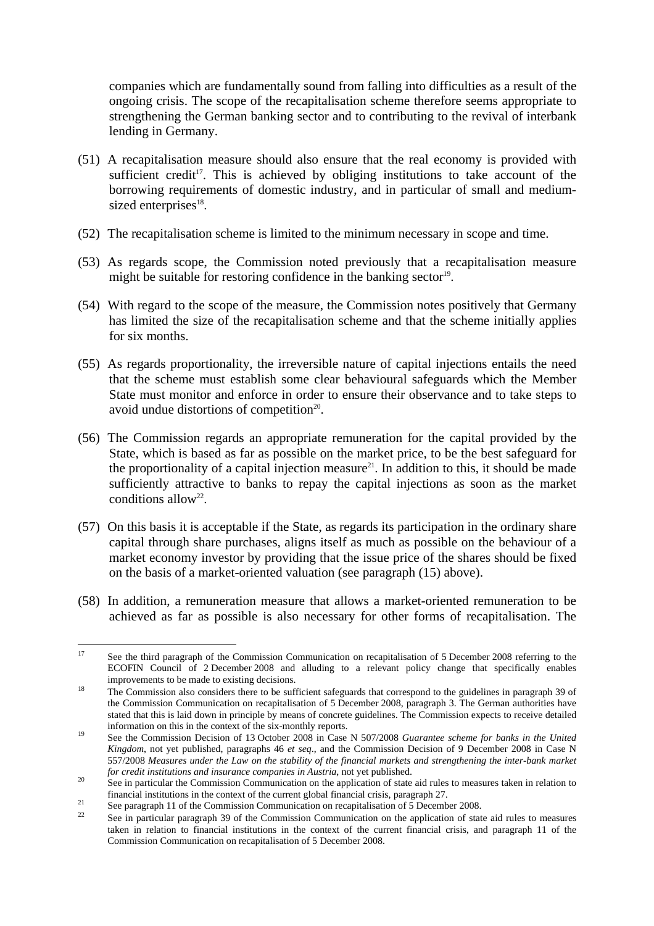companies which are fundamentally sound from falling into difficulties as a result of the ongoing crisis. The scope of the recapitalisation scheme therefore seems appropriate to strengthening the German banking sector and to contributing to the revival of interbank lending in Germany.

- (51) A recapitalisation measure should also ensure that the real economy is provided with sufficient credit<sup>17</sup>. This is achieved by obliging institutions to take account of the borrowing requirements of domestic industry, and in particular of small and mediumsized enterprises<sup>18</sup>.
- (52) The recapitalisation scheme is limited to the minimum necessary in scope and time.
- (53) As regards scope, the Commission noted previously that a recapitalisation measure might be suitable for restoring confidence in the banking sector<sup>19</sup>.
- (54) With regard to the scope of the measure, the Commission notes positively that Germany has limited the size of the recapitalisation scheme and that the scheme initially applies for six months.
- (55) As regards proportionality, the irreversible nature of capital injections entails the need that the scheme must establish some clear behavioural safeguards which the Member State must monitor and enforce in order to ensure their observance and to take steps to avoid undue distortions of competition $20$ .
- (56) The Commission regards an appropriate remuneration for the capital provided by the State, which is based as far as possible on the market price, to be the best safeguard for the proportionality of a capital injection measure<sup>21</sup>. In addition to this, it should be made sufficiently attractive to banks to repay the capital injections as soon as the market conditions allow<sup>22</sup>.
- (57) On this basis it is acceptable if the State, as regards its participation in the ordinary share capital through share purchases, aligns itself as much as possible on the behaviour of a market economy investor by providing that the issue price of the shares should be fixed on the basis of a market-oriented valuation (see paragraph (15) above).
- (58) In addition, a remuneration measure that allows a market-oriented remuneration to be achieved as far as possible is also necessary for other forms of recapitalisation. The

 $17$ See the third paragraph of the Commission Communication on recapitalisation of 5 December 2008 referring to the ECOFIN Council of 2 December 2008 and alluding to a relevant policy change that specifically enables improvements to be made to existing decisions.<br><sup>18</sup> The Commission also considers there to be sufficient safeguards that correspond to the guidelines in paragraph 39 of

the Commission Communication on recapitalisation of 5 December 2008, paragraph 3. The German authorities have stated that this is laid down in principle by means of concrete guidelines. The Commission expects to receive detailed information on this in the context of the six-monthly reports.

<sup>&</sup>lt;sup>19</sup> See the Commission Decision of 13 October 2008 in Case N 507/2008 *Guarantee scheme for banks in the United Kingdom*, not yet published, paragraphs 46 *et seq*., and the Commission Decision of 9 December 2008 in Case N 557/2008 *Measures under the Law on the stability of the financial markets and strengthening the inter-bank market* 

*for credit institutions and insurance companies in Austria*, not yet published.<br>20 See in particular the Commission Communication on the application of state aid rules to measures taken in relation to<br>5 financial institut

See paragraph 11 of the Commission Communication on recapitalisation of 5 December 2008.<br>
See in particular paragraph 39 of the Commission Communication on the application of state aid rules to measures taken in relation to financial institutions in the context of the current financial crisis, and paragraph 11 of the Commission Communication on recapitalisation of 5 December 2008.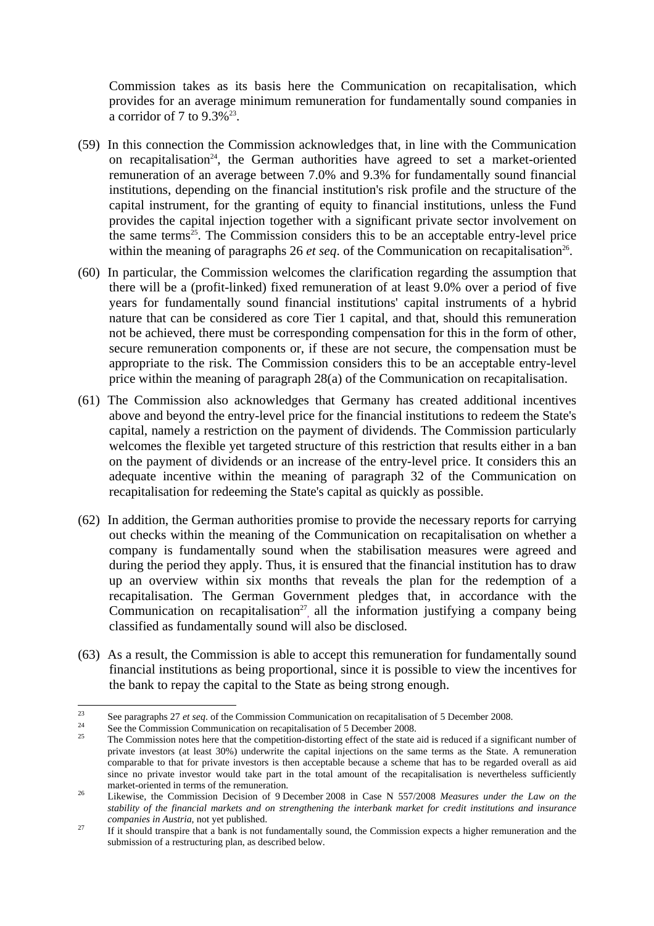Commission takes as its basis here the Communication on recapitalisation, which provides for an average minimum remuneration for fundamentally sound companies in a corridor of 7 to  $9.3\%$ <sup>23</sup>.

- (59) In this connection the Commission acknowledges that, in line with the Communication on recapitalisation<sup>24</sup>, the German authorities have agreed to set a market-oriented remuneration of an average between 7.0% and 9.3% for fundamentally sound financial institutions, depending on the financial institution's risk profile and the structure of the capital instrument, for the granting of equity to financial institutions, unless the Fund provides the capital injection together with a significant private sector involvement on the same terms<sup>25</sup>. The Commission considers this to be an acceptable entry-level price within the meaning of paragraphs 26  $et \text{seq}$ . of the Communication on recapitalisation<sup>26</sup>.
- (60) In particular, the Commission welcomes the clarification regarding the assumption that there will be a (profit-linked) fixed remuneration of at least 9.0% over a period of five years for fundamentally sound financial institutions' capital instruments of a hybrid nature that can be considered as core Tier 1 capital, and that, should this remuneration not be achieved, there must be corresponding compensation for this in the form of other, secure remuneration components or, if these are not secure, the compensation must be appropriate to the risk. The Commission considers this to be an acceptable entry-level price within the meaning of paragraph 28(a) of the Communication on recapitalisation.
- (61) The Commission also acknowledges that Germany has created additional incentives above and beyond the entry-level price for the financial institutions to redeem the State's capital, namely a restriction on the payment of dividends. The Commission particularly welcomes the flexible yet targeted structure of this restriction that results either in a ban on the payment of dividends or an increase of the entry-level price. It considers this an adequate incentive within the meaning of paragraph 32 of the Communication on recapitalisation for redeeming the State's capital as quickly as possible.
- (62) In addition, the German authorities promise to provide the necessary reports for carrying out checks within the meaning of the Communication on recapitalisation on whether a company is fundamentally sound when the stabilisation measures were agreed and during the period they apply. Thus, it is ensured that the financial institution has to draw up an overview within six months that reveals the plan for the redemption of a recapitalisation. The German Government pledges that, in accordance with the Communication on recapitalisation<sup>27</sup>, all the information justifying a company being classified as fundamentally sound will also be disclosed.
- (63) As a result, the Commission is able to accept this remuneration for fundamentally sound financial institutions as being proportional, since it is possible to view the incentives for the bank to repay the capital to the State as being strong enough.

<sup>23</sup> 

<sup>&</sup>lt;sup>23</sup><br>See paragraphs 27 *et seq*. of the Commission Communication on recapitalisation of 5 December 2008.<br>See the Commission Communication on recapitalisation of 5 December 2008.<br><sup>25</sup> The Commission notes here that the com private investors (at least 30%) underwrite the capital injections on the same terms as the State. A remuneration comparable to that for private investors is then acceptable because a scheme that has to be regarded overall as aid since no private investor would take part in the total amount of the recapitalisation is nevertheless sufficiently market-oriented in terms of the remuneration.<br><sup>26</sup> Likewise, the Commission Decision of 9 December 2008 in Case N 557/2008 *Measures under the Law on the* 

*stability of the financial markets and on strengthening the interbank market for credit institutions and insurance* 

*companies in Austria*, not yet published.<br><sup>27</sup> If it should transpire that a bank is not fundamentally sound, the Commission expects a higher remuneration and the submission of a restructuring plan, as described below.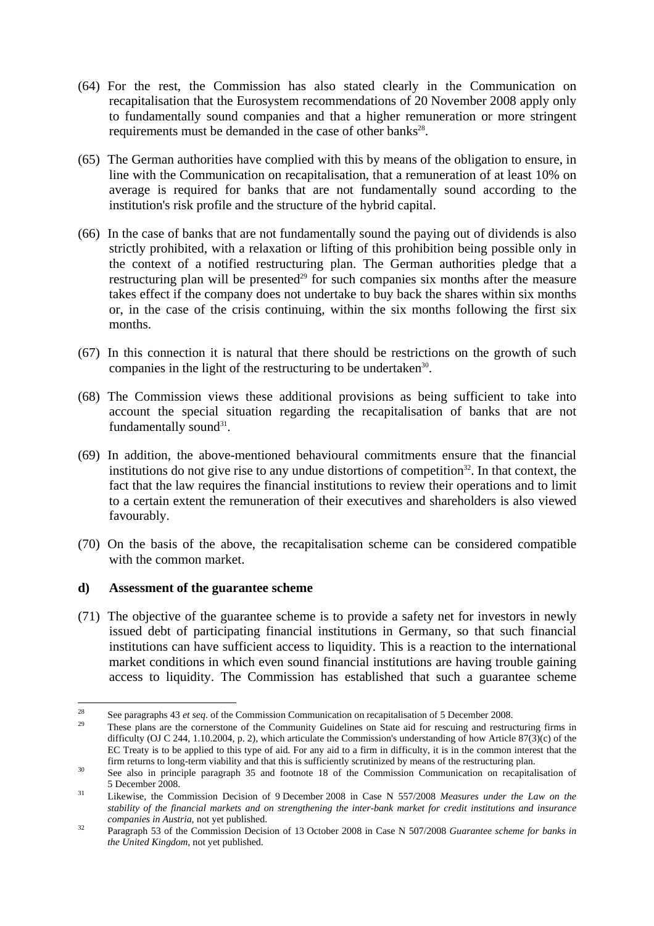- (64) For the rest, the Commission has also stated clearly in the Communication on recapitalisation that the Eurosystem recommendations of 20 November 2008 apply only to fundamentally sound companies and that a higher remuneration or more stringent requirements must be demanded in the case of other banks<sup>28</sup>.
- (65) The German authorities have complied with this by means of the obligation to ensure, in line with the Communication on recapitalisation, that a remuneration of at least 10% on average is required for banks that are not fundamentally sound according to the institution's risk profile and the structure of the hybrid capital.
- (66) In the case of banks that are not fundamentally sound the paying out of dividends is also strictly prohibited, with a relaxation or lifting of this prohibition being possible only in the context of a notified restructuring plan. The German authorities pledge that a restructuring plan will be presented<sup>29</sup> for such companies six months after the measure takes effect if the company does not undertake to buy back the shares within six months or, in the case of the crisis continuing, within the six months following the first six months.
- (67) In this connection it is natural that there should be restrictions on the growth of such companies in the light of the restructuring to be undertaken<sup>30</sup>.
- (68) The Commission views these additional provisions as being sufficient to take into account the special situation regarding the recapitalisation of banks that are not fundamentally sound $31$ .
- (69) In addition, the above-mentioned behavioural commitments ensure that the financial institutions do not give rise to any undue distortions of competition<sup>32</sup>. In that context, the fact that the law requires the financial institutions to review their operations and to limit to a certain extent the remuneration of their executives and shareholders is also viewed favourably.
- (70) On the basis of the above, the recapitalisation scheme can be considered compatible with the common market.

#### **d) Assessment of the guarantee scheme**

(71) The objective of the guarantee scheme is to provide a safety net for investors in newly issued debt of participating financial institutions in Germany, so that such financial institutions can have sufficient access to liquidity. This is a reaction to the international market conditions in which even sound financial institutions are having trouble gaining access to liquidity. The Commission has established that such a guarantee scheme

 $\overline{a}$ 

<sup>&</sup>lt;sup>28</sup> See paragraphs 43 *et seq*. of the Commission Communication on recapitalisation of 5 December 2008.<br><sup>29</sup> These plans are the cornerstone of the Community Guidelines on State aid for rescuing and restructuring firms i difficulty (OJ C 244, 1.10.2004, p. 2), which articulate the Commission's understanding of how Article 87(3)(c) of the EC Treaty is to be applied to this type of aid. For any aid to a firm in difficulty, it is in the common interest that the firm returns to long-term viability and that this is sufficiently scrutinized by means of the restructuring plan.<br><sup>30</sup> See also in principle paragraph 35 and footnote 18 of the Commission Communication on recapitalisation

<sup>5</sup> December 2008. 31 Likewise, the Commission Decision of 9 December 2008 in Case N 557/2008 *Measures under the Law on the* 

*stability of the financial markets and on strengthening the inter-bank market for credit institutions and insurance* 

*companies in Austria*, not yet published. 32 Paragraph 53 of the Commission Decision of 13 October 2008 in Case N 507/2008 *Guarantee scheme for banks in the United Kingdom*, not yet published.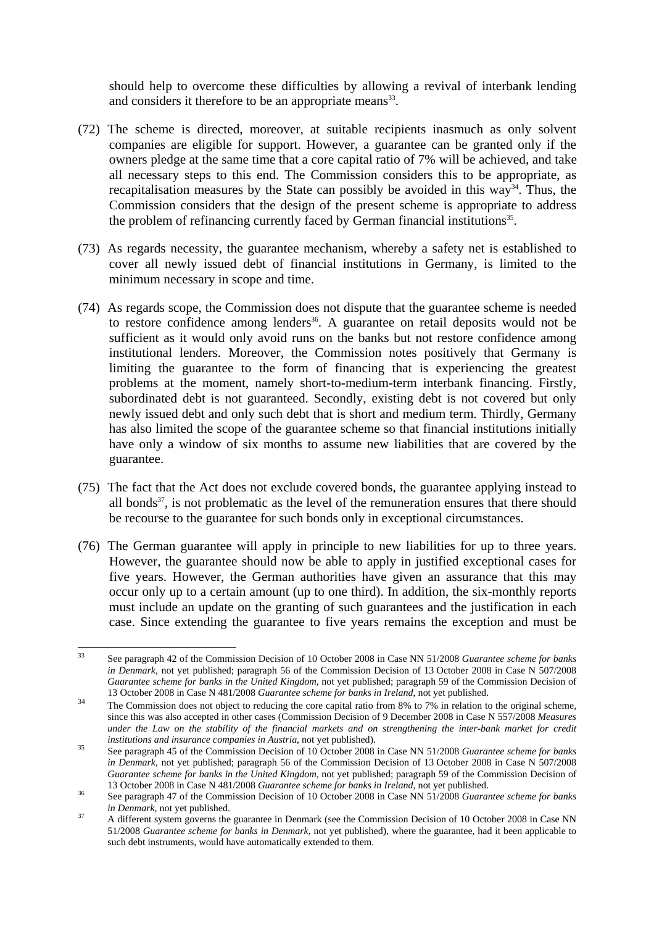should help to overcome these difficulties by allowing a revival of interbank lending and considers it therefore to be an appropriate means<sup>33</sup>.

- (72) The scheme is directed, moreover, at suitable recipients inasmuch as only solvent companies are eligible for support. However, a guarantee can be granted only if the owners pledge at the same time that a core capital ratio of 7% will be achieved, and take all necessary steps to this end. The Commission considers this to be appropriate, as recapitalisation measures by the State can possibly be avoided in this way<sup>34</sup>. Thus, the Commission considers that the design of the present scheme is appropriate to address the problem of refinancing currently faced by German financial institutions<sup>35</sup>.
- (73) As regards necessity, the guarantee mechanism, whereby a safety net is established to cover all newly issued debt of financial institutions in Germany, is limited to the minimum necessary in scope and time.
- (74) As regards scope, the Commission does not dispute that the guarantee scheme is needed to restore confidence among lenders<sup>36</sup>. A guarantee on retail deposits would not be sufficient as it would only avoid runs on the banks but not restore confidence among institutional lenders. Moreover, the Commission notes positively that Germany is limiting the guarantee to the form of financing that is experiencing the greatest problems at the moment, namely short-to-medium-term interbank financing. Firstly, subordinated debt is not guaranteed. Secondly, existing debt is not covered but only newly issued debt and only such debt that is short and medium term. Thirdly, Germany has also limited the scope of the guarantee scheme so that financial institutions initially have only a window of six months to assume new liabilities that are covered by the guarantee.
- (75) The fact that the Act does not exclude covered bonds, the guarantee applying instead to all bonds $37$ , is not problematic as the level of the remuneration ensures that there should be recourse to the guarantee for such bonds only in exceptional circumstances.
- (76) The German guarantee will apply in principle to new liabilities for up to three years. However, the guarantee should now be able to apply in justified exceptional cases for five years. However, the German authorities have given an assurance that this may occur only up to a certain amount (up to one third). In addition, the six-monthly reports must include an update on the granting of such guarantees and the justification in each case. Since extending the guarantee to five years remains the exception and must be

 $33$ 33 See paragraph 42 of the Commission Decision of 10 October 2008 in Case NN 51/2008 *Guarantee scheme for banks in Denmark*, not yet published; paragraph 56 of the Commission Decision of 13 October 2008 in Case N 507/2008 *Guarantee scheme for banks in the United Kingdom*, not yet published; paragraph 59 of the Commission Decision of

<sup>13</sup> October 2008 in Case N 481/2008 *Guarantee scheme for banks in Ireland*, not yet published.<br><sup>34</sup> The Commission does not object to reducing the core capital ratio from 8% to 7% in relation to the original scheme, since this was also accepted in other cases (Commission Decision of 9 December 2008 in Case N 557/2008 *Measures*  under the Law on the stability of the financial markets and on strengthening the inter-bank market for credit

*institutions and insurance companies in Austria*, not yet published).<br><sup>35</sup> See paragraph 45 of the Commission Decision of 10 October 2008 in Case NN 51/2008 *Guarantee scheme for banks in Denmark*, not yet published; paragraph 56 of the Commission Decision of 13 October 2008 in Case N 507/2008 *Guarantee scheme for banks in the United Kingdom*, not yet published; paragraph 59 of the Commission Decision of 13 October 2008 in Case N 481/2008 *Guarantee scheme for banks in Ireland*, not yet published. 36 See paragraph 47 of the Commission Decision of 10 October 2008 in Case NN 51/2008 *Guarantee scheme for banks* 

*in Denmark*, not yet published.<br>
<sup>37</sup> A different system governs the guarantee in Denmark (see the Commission Decision of 10 October 2008 in Case NN 51/2008 *Guarantee scheme for banks in Denmark*, not yet published), where the guarantee, had it been applicable to such debt instruments, would have automatically extended to them.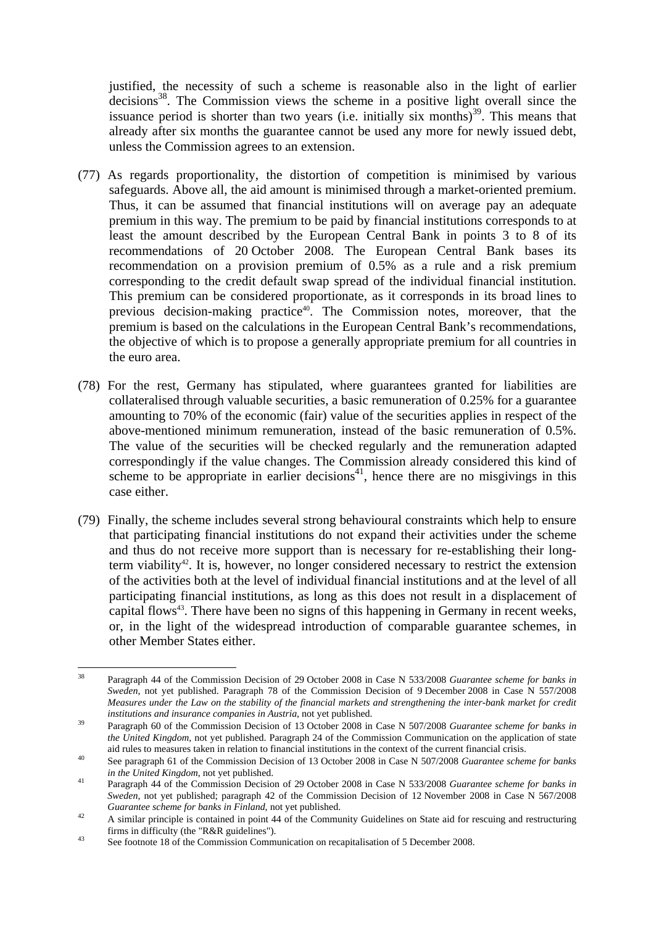justified, the necessity of such a scheme is reasonable also in the light of earlier  $decisions<sup>38</sup>$ . The Commission views the scheme in a positive light overall since the issuance period is shorter than two years (i.e. initially six months)<sup>39</sup>. This means that already after six months the guarantee cannot be used any more for newly issued debt, unless the Commission agrees to an extension.

- (77) As regards proportionality, the distortion of competition is minimised by various safeguards. Above all, the aid amount is minimised through a market-oriented premium. Thus, it can be assumed that financial institutions will on average pay an adequate premium in this way. The premium to be paid by financial institutions corresponds to at least the amount described by the European Central Bank in points 3 to 8 of its recommendations of 20 October 2008. The European Central Bank bases its recommendation on a provision premium of 0.5% as a rule and a risk premium corresponding to the credit default swap spread of the individual financial institution. This premium can be considered proportionate, as it corresponds in its broad lines to previous decision-making practice<sup>40</sup>. The Commission notes, moreover, that the premium is based on the calculations in the European Central Bank's recommendations, the objective of which is to propose a generally appropriate premium for all countries in the euro area.
- (78) For the rest, Germany has stipulated, where guarantees granted for liabilities are collateralised through valuable securities, a basic remuneration of 0.25% for a guarantee amounting to 70% of the economic (fair) value of the securities applies in respect of the above-mentioned minimum remuneration, instead of the basic remuneration of 0.5%. The value of the securities will be checked regularly and the remuneration adapted correspondingly if the value changes. The Commission already considered this kind of scheme to be appropriate in earlier decisions<sup>41</sup>, hence there are no misgivings in this case either.
- (79) Finally, the scheme includes several strong behavioural constraints which help to ensure that participating financial institutions do not expand their activities under the scheme and thus do not receive more support than is necessary for re-establishing their longterm viability<sup>42</sup>. It is, however, no longer considered necessary to restrict the extension of the activities both at the level of individual financial institutions and at the level of all participating financial institutions, as long as this does not result in a displacement of capital flows<sup>43</sup>. There have been no signs of this happening in Germany in recent weeks, or, in the light of the widespread introduction of comparable guarantee schemes, in other Member States either.

<sup>38</sup> 38 Paragraph 44 of the Commission Decision of 29 October 2008 in Case N 533/2008 *Guarantee scheme for banks in Sweden*, not yet published. Paragraph 78 of the Commission Decision of 9 December 2008 in Case N 557/2008 *Measures under the Law on the stability of the financial markets and strengthening the inter-bank market for credit institutions and insurance companies in Austria*, not yet published. 39 Paragraph 60 of the Commission Decision of 13 October 2008 in Case N 507/2008 *Guarantee scheme for banks in* 

*the United Kingdom*, not yet published. Paragraph 24 of the Commission Communication on the application of state

aid rules to measures taken in relation to financial institutions in the context of the current financial crisis.<br>See paragraph 61 of the Commission Decision of 13 October 2008 in Case N 507/2008 Guarantee scheme for banks *in the United Kingdom*, not yet published. 41 Paragraph 44 of the Commission Decision of 29 October 2008 in Case N 533/2008 *Guarantee scheme for banks in* 

*Sweden*, not yet published; paragraph 42 of the Commission Decision of 12 November 2008 in Case N 567/2008

*Guarantee scheme for banks in Finland*, not yet published.<br><sup>42</sup> A similar principle is contained in point 44 of the Community Guidelines on State aid for rescuing and restructuring firms in difficulty (the "R&R guidelines").<br><sup>43</sup> See footnote 18 of the Commission Communication on recapitalisation of 5 December 2008.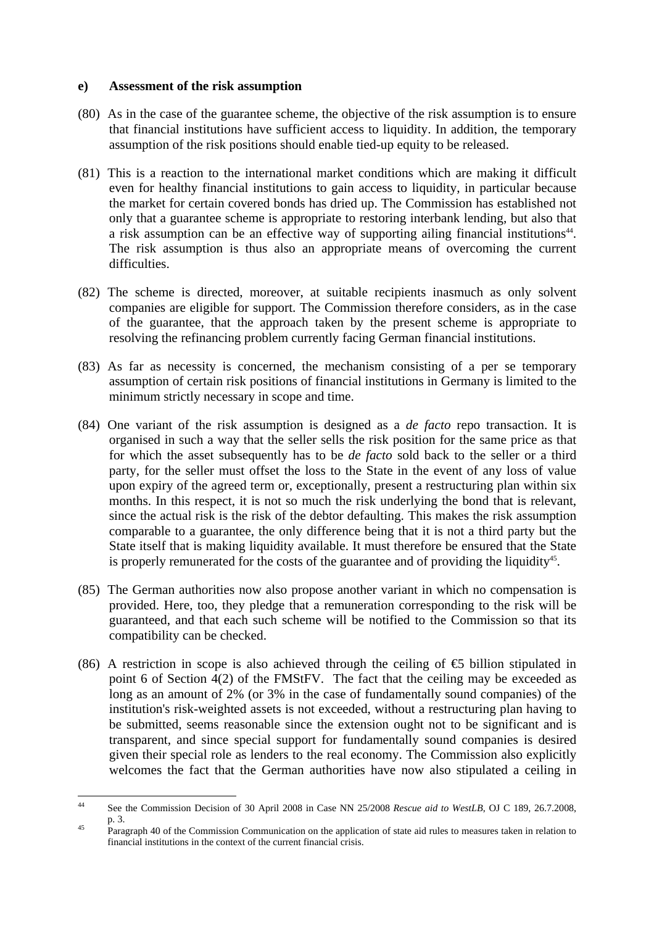#### **e) Assessment of the risk assumption**

- (80) As in the case of the guarantee scheme, the objective of the risk assumption is to ensure that financial institutions have sufficient access to liquidity. In addition, the temporary assumption of the risk positions should enable tied-up equity to be released.
- (81) This is a reaction to the international market conditions which are making it difficult even for healthy financial institutions to gain access to liquidity, in particular because the market for certain covered bonds has dried up. The Commission has established not only that a guarantee scheme is appropriate to restoring interbank lending, but also that a risk assumption can be an effective way of supporting ailing financial institutions<sup>44</sup>. The risk assumption is thus also an appropriate means of overcoming the current difficulties.
- (82) The scheme is directed, moreover, at suitable recipients inasmuch as only solvent companies are eligible for support. The Commission therefore considers, as in the case of the guarantee, that the approach taken by the present scheme is appropriate to resolving the refinancing problem currently facing German financial institutions.
- (83) As far as necessity is concerned, the mechanism consisting of a per se temporary assumption of certain risk positions of financial institutions in Germany is limited to the minimum strictly necessary in scope and time.
- (84) One variant of the risk assumption is designed as a *de facto* repo transaction. It is organised in such a way that the seller sells the risk position for the same price as that for which the asset subsequently has to be *de facto* sold back to the seller or a third party, for the seller must offset the loss to the State in the event of any loss of value upon expiry of the agreed term or, exceptionally, present a restructuring plan within six months. In this respect, it is not so much the risk underlying the bond that is relevant, since the actual risk is the risk of the debtor defaulting. This makes the risk assumption comparable to a guarantee, the only difference being that it is not a third party but the State itself that is making liquidity available. It must therefore be ensured that the State is properly remunerated for the costs of the guarantee and of providing the liquidity<sup>45</sup>.
- (85) The German authorities now also propose another variant in which no compensation is provided. Here, too, they pledge that a remuneration corresponding to the risk will be guaranteed, and that each such scheme will be notified to the Commission so that its compatibility can be checked.
- (86) A restriction in scope is also achieved through the ceiling of  $\oplus$  billion stipulated in point 6 of Section 4(2) of the FMStFV. The fact that the ceiling may be exceeded as long as an amount of 2% (or 3% in the case of fundamentally sound companies) of the institution's risk-weighted assets is not exceeded, without a restructuring plan having to be submitted, seems reasonable since the extension ought not to be significant and is transparent, and since special support for fundamentally sound companies is desired given their special role as lenders to the real economy. The Commission also explicitly welcomes the fact that the German authorities have now also stipulated a ceiling in

 $44$ 44 See the Commission Decision of 30 April 2008 in Case NN 25/2008 *Rescue aid to WestLB*, OJ C 189, 26.7.2008, p. 3.<br>Paragraph 40 of the Commission Communication on the application of state aid rules to measures taken in relation to

financial institutions in the context of the current financial crisis.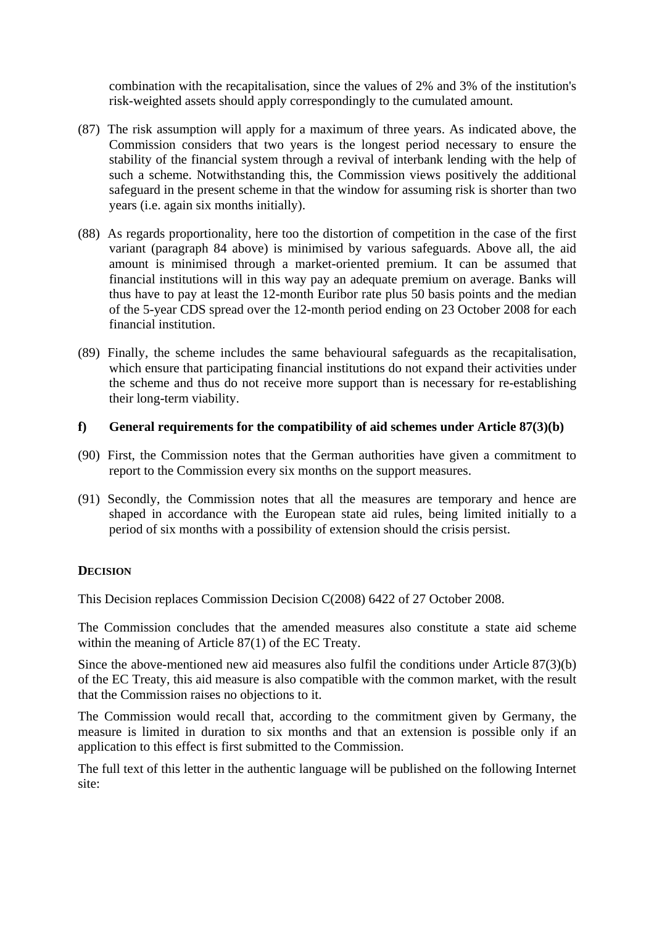combination with the recapitalisation, since the values of 2% and 3% of the institution's risk-weighted assets should apply correspondingly to the cumulated amount.

- (87) The risk assumption will apply for a maximum of three years. As indicated above, the Commission considers that two years is the longest period necessary to ensure the stability of the financial system through a revival of interbank lending with the help of such a scheme. Notwithstanding this, the Commission views positively the additional safeguard in the present scheme in that the window for assuming risk is shorter than two years (i.e. again six months initially).
- (88) As regards proportionality, here too the distortion of competition in the case of the first variant (paragraph 84 above) is minimised by various safeguards. Above all, the aid amount is minimised through a market-oriented premium. It can be assumed that financial institutions will in this way pay an adequate premium on average. Banks will thus have to pay at least the 12-month Euribor rate plus 50 basis points and the median of the 5-year CDS spread over the 12-month period ending on 23 October 2008 for each financial institution.
- (89) Finally, the scheme includes the same behavioural safeguards as the recapitalisation, which ensure that participating financial institutions do not expand their activities under the scheme and thus do not receive more support than is necessary for re-establishing their long-term viability.

### **f) General requirements for the compatibility of aid schemes under Article 87(3)(b)**

- (90) First, the Commission notes that the German authorities have given a commitment to report to the Commission every six months on the support measures.
- (91) Secondly, the Commission notes that all the measures are temporary and hence are shaped in accordance with the European state aid rules, being limited initially to a period of six months with a possibility of extension should the crisis persist.

## **DECISION**

This Decision replaces Commission Decision C(2008) 6422 of 27 October 2008.

The Commission concludes that the amended measures also constitute a state aid scheme within the meaning of Article 87(1) of the EC Treaty.

Since the above-mentioned new aid measures also fulfil the conditions under Article 87(3)(b) of the EC Treaty, this aid measure is also compatible with the common market, with the result that the Commission raises no objections to it.

The Commission would recall that, according to the commitment given by Germany, the measure is limited in duration to six months and that an extension is possible only if an application to this effect is first submitted to the Commission.

The full text of this letter in the authentic language will be published on the following Internet site: